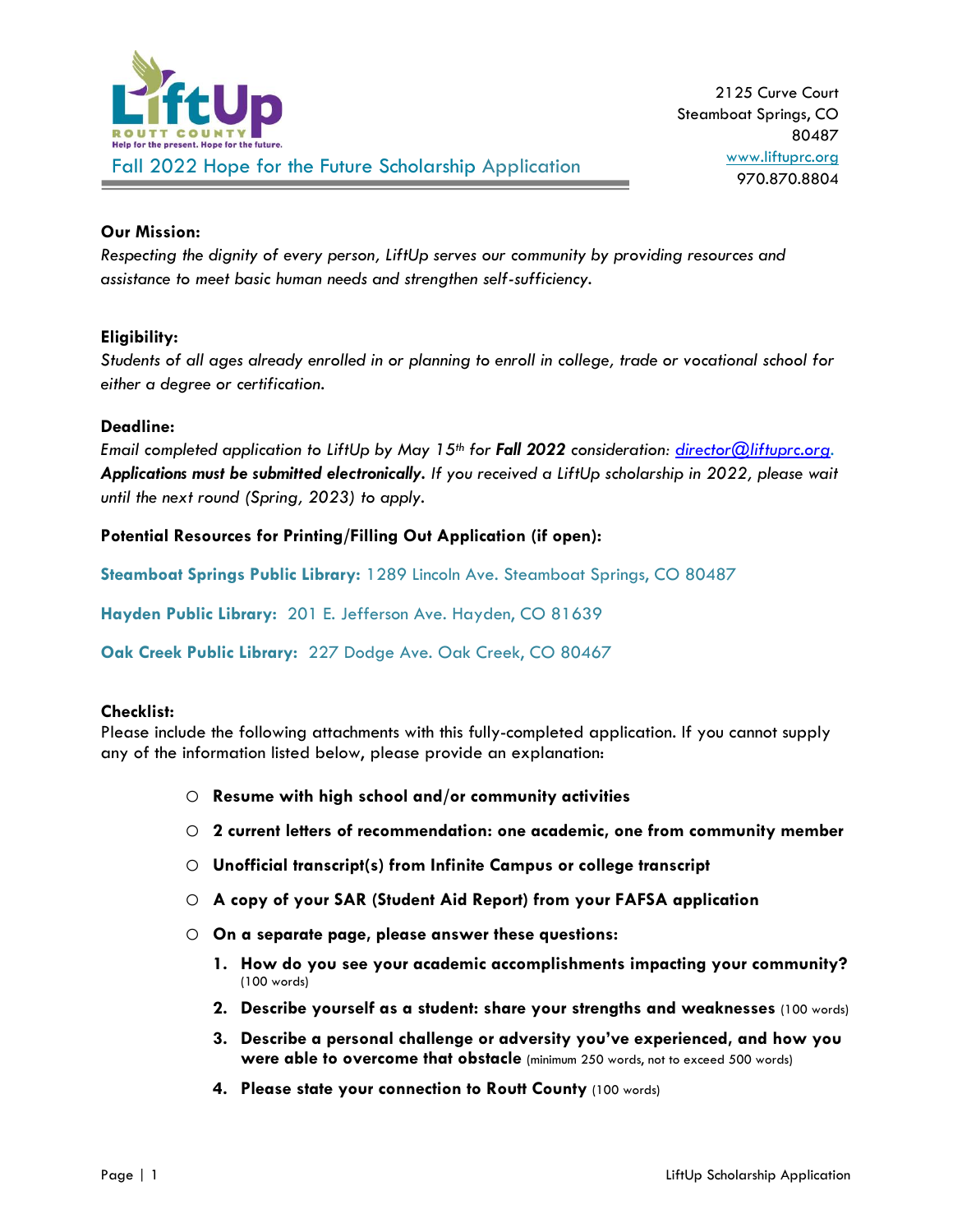

## **Our Mission:**

*Respecting the dignity of every person, LiftUp serves our community by providing resources and assistance to meet basic human needs and strengthen self-sufficiency.*

### **Eligibility:**

*Students of all ages already enrolled in or planning to enroll in college, trade or vocational school for either a degree or certification.* 

#### **Deadline:**

*Email completed application to LiftUp by May 15th for Fall 2022 consideration: [director@liftuprc.org.](mailto:director@liftuprc.org) Applications must be submitted electronically. If you received a LiftUp scholarship in 2022, please wait until the next round (Spring, 2023) to apply.*

## **Potential Resources for Printing/Filling Out Application (if open):**

**Steamboat Springs Public Library:** 1289 Lincoln Ave. Steamboat Springs, CO 80487

**Hayden Public Library:** 201 E. Jefferson Ave. Hayden, CO 81639

**Oak Creek Public Library:** 227 Dodge Ave. Oak Creek, CO 80467

#### **Checklist:**

Please include the following attachments with this fully-completed application. If you cannot supply any of the information listed below, please provide an explanation:

- o **Resume with high school and/or community activities**
- o **2 current letters of recommendation: one academic, one from community member**
- o **Unofficial transcript(s) from Infinite Campus or college transcript**
- o **A copy of your SAR (Student Aid Report) from your FAFSA application**
- o **On a separate page, please answer these questions:**
	- **1. How do you see your academic accomplishments impacting your community?**  (100 words)
	- **2. Describe yourself as a student: share your strengths and weaknesses** (100 words)
	- **3. Describe a personal challenge or adversity you've experienced, and how you were able to overcome that obstacle** (minimum 250 words, not to exceed 500 words)
	- **4. Please state your connection to Routt County** (100 words)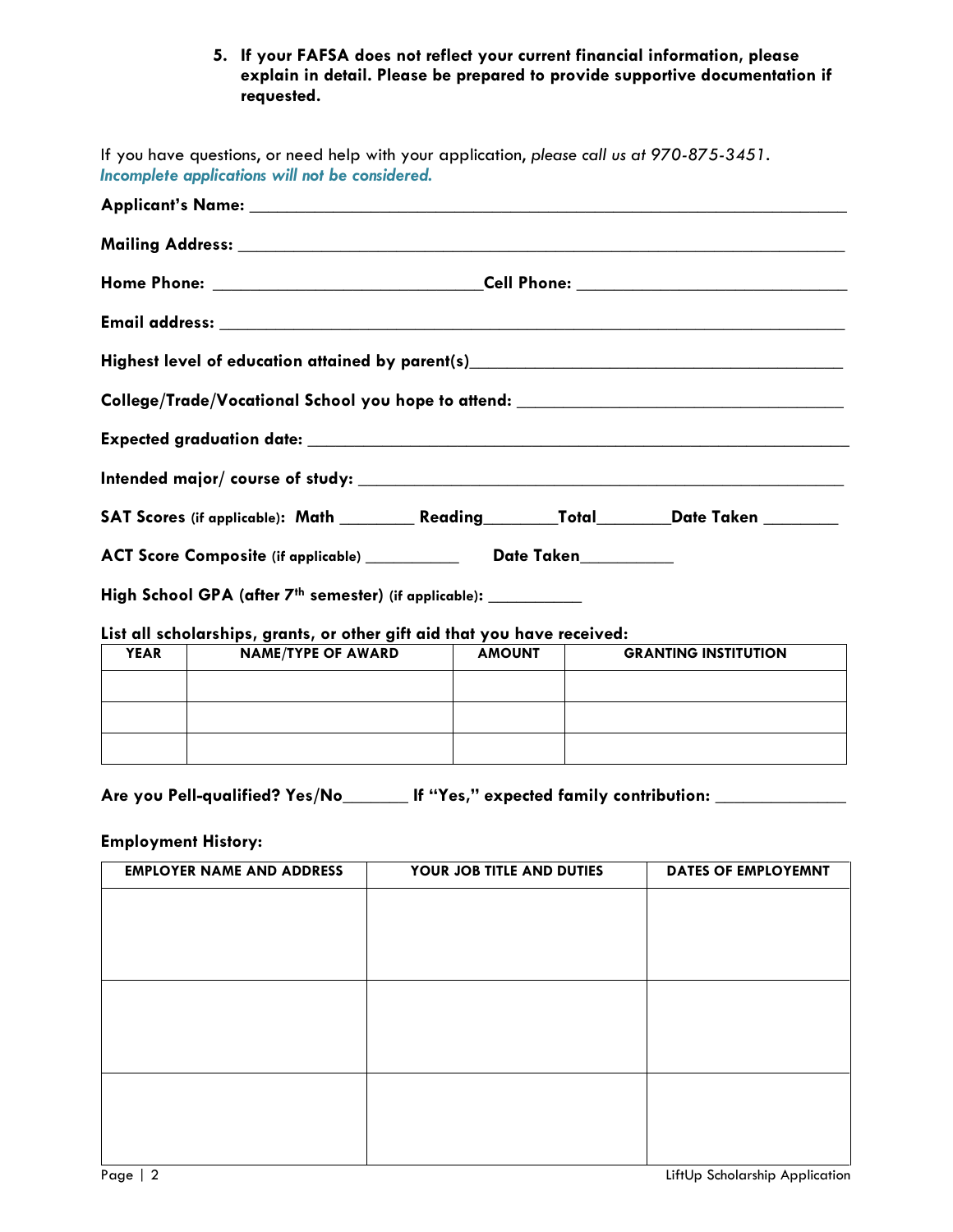## **5. If your FAFSA does not reflect your current financial information, please explain in detail. Please be prepared to provide supportive documentation if requested.**

| If you have questions, or need help with your application, please call us at 970-875-3451.<br>Incomplete applications will not be considered.                                                                                  |                           |               |  |                             |  |
|--------------------------------------------------------------------------------------------------------------------------------------------------------------------------------------------------------------------------------|---------------------------|---------------|--|-----------------------------|--|
| Applicant's Name: the contract of the contract of the contract of the contract of the contract of the contract of the contract of the contract of the contract of the contract of the contract of the contract of the contract |                           |               |  |                             |  |
|                                                                                                                                                                                                                                |                           |               |  |                             |  |
|                                                                                                                                                                                                                                |                           |               |  |                             |  |
|                                                                                                                                                                                                                                |                           |               |  |                             |  |
| Highest level of education attained by parent(s)_________________________________                                                                                                                                              |                           |               |  |                             |  |
| College/Trade/Vocational School you hope to attend: ____________________________                                                                                                                                               |                           |               |  |                             |  |
|                                                                                                                                                                                                                                |                           |               |  |                             |  |
|                                                                                                                                                                                                                                |                           |               |  |                             |  |
| SAT Scores (if applicable): Math _________ Reading________Total________Date Taken ________                                                                                                                                     |                           |               |  |                             |  |
| ACT Score Composite (if applicable) ____________ Date Taken__________                                                                                                                                                          |                           |               |  |                             |  |
| High School GPA (after 7th semester) (if applicable): _________                                                                                                                                                                |                           |               |  |                             |  |
| List all scholarships, grants, or other gift aid that you have received:                                                                                                                                                       |                           |               |  |                             |  |
| <b>YEAR</b>                                                                                                                                                                                                                    | <b>NAME/TYPE OF AWARD</b> | <b>AMOUNT</b> |  | <b>GRANTING INSTITUTION</b> |  |
|                                                                                                                                                                                                                                |                           |               |  |                             |  |
|                                                                                                                                                                                                                                |                           |               |  |                             |  |
|                                                                                                                                                                                                                                |                           |               |  |                             |  |

**Are you Pell-qualified? Yes/No\_\_\_\_\_\_\_ If "Yes," expected family contribution: \_\_\_\_\_\_\_\_\_\_\_\_\_\_**

# **Employment History:**

| <b>EMPLOYER NAME AND ADDRESS</b> | YOUR JOB TITLE AND DUTIES | DATES OF EMPLOYEMNT |
|----------------------------------|---------------------------|---------------------|
|                                  |                           |                     |
|                                  |                           |                     |
|                                  |                           |                     |
|                                  |                           |                     |
|                                  |                           |                     |
|                                  |                           |                     |
|                                  |                           |                     |
|                                  |                           |                     |
|                                  |                           |                     |
|                                  |                           |                     |
|                                  |                           |                     |